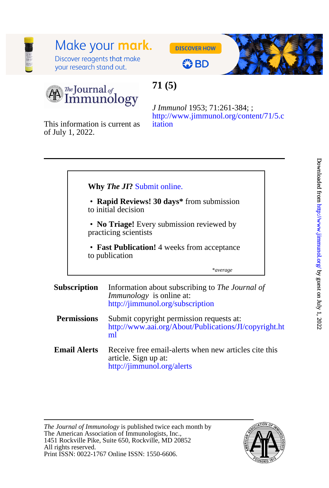## Make your **mark.**

Discover reagents that make your research stand out.

**DISCOVER HOW** 



# **OBD**

 $\frac{\pi}{L}$ Journal of Immunology

### **71 (5)**

[itation](http://www.jimmunol.org/content/71/5.citation) [http://www.jimmunol.org/content/71/5.c](http://www.jimmunol.org/content/71/5.citation) *J Immunol* 1953; 71:261-384; ;

of July 1, 2022. This information is current as

|  | Why The JI? Submit online. |
|--|----------------------------|
|--|----------------------------|

- to initial decision • **Rapid Reviews! 30 days\*** from submission
- Ī practicing scientists • **No Triage!** Every submission reviewed by
- to publication • **Fast Publication!** 4 weeks from acceptance

\**average*

#### **Subscription** <http://jimmunol.org/subscription> *Immunology* is online at: Information about subscribing to *The Journal of*

- **Permissions** [ml](http://www.aai.org/About/Publications/JI/copyright.html) [http://www.aai.org/About/Publications/JI/copyright.ht](http://www.aai.org/About/Publications/JI/copyright.html) Submit copyright permission requests at:
- **Email Alerts** <http://jimmunol.org/alerts> article. Sign up at: Receive free email-alerts when new articles cite this

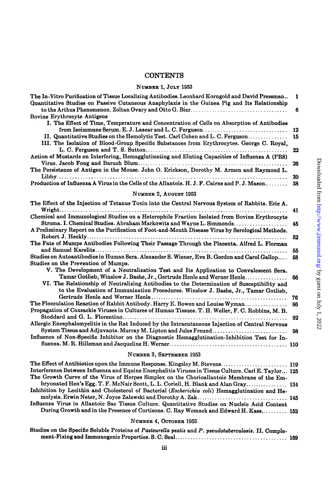### **CONTENTS**

#### **NUMBER 1, JULY** 1953

| The In-Vitro Purification of Tissue Localizing Antibodies. Leonhard Korngold and David Pressman                                                                                                                                                                                                | 1  |
|------------------------------------------------------------------------------------------------------------------------------------------------------------------------------------------------------------------------------------------------------------------------------------------------|----|
| Quantitative Studies on Passive Cutaneous Anaphylaxis in the Guinea Pig and Its Relationship                                                                                                                                                                                                   | 6  |
| <b>Bovine Erythrocyte Antigens</b>                                                                                                                                                                                                                                                             |    |
| I. The Effect of Time, Temperature and Concentration of Cells on Absorption of Antibodies                                                                                                                                                                                                      |    |
| from Isoimmune Serum. E. J. Lazear and L. C. Ferguson                                                                                                                                                                                                                                          | 12 |
| II. Quantitative Studies on the Hemolytic Test. Carl Cohen and L. C. Ferguson                                                                                                                                                                                                                  | 15 |
| III. The Isolation of Blood-Group Specific Substances from Erythrocytes. George C. Royal,                                                                                                                                                                                                      | 22 |
| Action of Mustards on Interfering, Hemagglutinating and Eluting Capacities of Influenza A (PR8)                                                                                                                                                                                                |    |
|                                                                                                                                                                                                                                                                                                | 26 |
| The Persistence of Antigen in the Mouse. John O. Erickson, Dorothy M. Armen and Raymond L.                                                                                                                                                                                                     |    |
|                                                                                                                                                                                                                                                                                                | 30 |
| Production of Influenza A Virus in the Cells of the Allantois. H. J. F. Cairns and P. J. Mason                                                                                                                                                                                                 | 38 |
| NUMBER 2, AUGUST 1953                                                                                                                                                                                                                                                                          |    |
| The Effect of the Injection of Tetanus Toxin into the Central Nervous System of Rabbits. Eric A.                                                                                                                                                                                               |    |
| Chemical and Immunological Studies on a Heterophile Fraction Isolated from Bovine Erythrocyte                                                                                                                                                                                                  | 41 |
| Stroma. I. Chemical Studies. Abraham Markowitz and Wayne L. Simmonds                                                                                                                                                                                                                           | 45 |
| A Preliminary Report on the Purification of Foot-and-Mouth Disease Virus by Serological Methods.                                                                                                                                                                                               |    |
| The Fate of Mumps Antibodies Following Their Passage Through the Placenta. Alfred L. Florman                                                                                                                                                                                                   | 52 |
|                                                                                                                                                                                                                                                                                                | 55 |
| Studies on Autoantibodies in Human Sera. Alexander S. Wiener, Eve B. Gordon and Carol Gallop                                                                                                                                                                                                   | 58 |
| Studies on the Prevention of Mumps.                                                                                                                                                                                                                                                            |    |
| V. The Development of a Neutralization Test and Its Application to Convalescent Sera.                                                                                                                                                                                                          |    |
| Tamar Gotlieb, Winslow J. Bashe, Jr., Gertrude Henle and Werner Henle<br>VI. The Relationship of Neutralizing Antibodies to the Determination of Susceptibility and<br>to the Evaluation of Immunization Procedures. Winslow J. Bashe, Jr., Tamar Gotlieb,                                     | 66 |
|                                                                                                                                                                                                                                                                                                | 76 |
| The Flocculation Reaction of Rabbit Antibody. Harry E. Bowen and Louise Wyman                                                                                                                                                                                                                  | 86 |
| Propagation of Coxsackie Viruses in Cultures of Human Tissues. T. H. Weller, F. C. Robbins, M. B.                                                                                                                                                                                              |    |
| Allergic Encephalomyelitis in the Rat Induced by the Intracutaneous Injection of Central Nervous                                                                                                                                                                                               | 92 |
| System Tissue and Adjuvants. Murray M. Lipton and Jules Freund                                                                                                                                                                                                                                 | 98 |
| Influence of Non-Specific Inhibitor on the Diagnostic Hemagglutination-Inhibition Test for In-                                                                                                                                                                                                 |    |
|                                                                                                                                                                                                                                                                                                |    |
| NUMBER 3, SEPTEMBER 1953                                                                                                                                                                                                                                                                       |    |
| The Effect of Antibiotics upon the Immune Response. Kingsley M. Stevens 119                                                                                                                                                                                                                    |    |
| $\mathbf{L}$ . Determine $\mathbf{L}$ and determine the $\mathbf{L}$ and $\mathbf{L}$ and $\mathbf{L}$ and $\mathbf{L}$ and $\mathbf{L}$ and $\mathbf{L}$ and $\mathbf{L}$ and $\mathbf{L}$ and $\mathbf{L}$ and $\mathbf{L}$ and $\mathbf{L}$ and $\mathbf{L}$ and $\mathbf{L}$ and $\mathbf$ |    |

| Interference Between Influenza and Equine Encephalitis Viruses in Tissue Culture. Carl E. Taylor 125 |  |
|------------------------------------------------------------------------------------------------------|--|
| The Growth Curve of the Virus of Herpes Simplex on the Chorioallantoic Membrane of the Em-           |  |
| bryonated Hen's Egg. T. F. McNair Scott, L. L. Coriell, H. Blank and Alan Gray 134                   |  |
| Inhibition by Lecithin and Cholesterol of Bacterial (Escherichia coli) Hemagglutination and He-      |  |
|                                                                                                      |  |
| Influenza Virus in Allantoic Sac Tissue Culture. Quantitative Studies on Nucleic Acid Content        |  |
| During Growth and in the Presence of Cortisone. C. Ray Womack and Edward H. Kass 152                 |  |
|                                                                                                      |  |

#### NUMBER 4, OCTOBER 1953

| Studies on the Specific Soluble Proteins of Pasteurella pestis and P. pseudotuberculosis. II. Comple- |  |
|-------------------------------------------------------------------------------------------------------|--|
|                                                                                                       |  |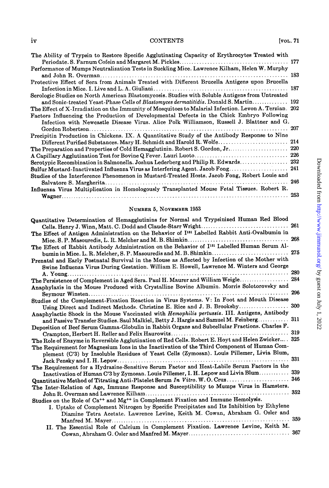### iv CONTENTS [VOL. 71

| The Ability of Trypsin to Restore Specific Agglutinating Capacity of Erythrocytes Treated with<br>Performance of Mumps Neutralization Tests in Suckling Mice. Lawrence Kilham, Helen W. Murphy |     |
|------------------------------------------------------------------------------------------------------------------------------------------------------------------------------------------------|-----|
| Protective Effect of Sera from Animals Treated with Different Brucella Antigens upon Brucella                                                                                                  |     |
|                                                                                                                                                                                                |     |
| Serologic Studies on North American Blastomycosis. Studies with Soluble Antigens from Untreated                                                                                                |     |
| and Sonic-treated Yeast-Phase Cells of Blastomyces dermatitidis. Donald S. Martin 192                                                                                                          |     |
| The Effect of X-Irradiation on the Immunity of Mosquitoes to Malarial Infection. Levon A. Terzian. 202                                                                                         |     |
| Factors Influencing the Production of Developmental Defects in the Chick Embryo Following                                                                                                      |     |
| Infection with Newcastle Disease Virus. Alice Polk Williamson, Russell J. Blattner and G.                                                                                                      |     |
|                                                                                                                                                                                                | 207 |
| Precipitin Production in Chickens. IX. A Quantitative Study of the Antibody Response to Nine                                                                                                   |     |
| Different Purified Substances. Mary H. Schmidt and Harold R. Wolfe 214                                                                                                                         |     |
| The Preparation and Properties of Cold Hemagglutinin. Robert S. Gordon, Jr                                                                                                                     | 220 |
|                                                                                                                                                                                                |     |
| Serotypic Recombination in Salmonella. Joshua Lederberg and Philip R. Edwards 232                                                                                                              |     |
|                                                                                                                                                                                                |     |
| Studies of the Interference Phenomenon in Mustard-Treated Hosts. Jacob Fong, Robert Louie and                                                                                                  |     |
|                                                                                                                                                                                                | 246 |
| Influenza Virus Multiplication in Homologously Transplanted Mouse Fetal Tissues. Robert R.                                                                                                     |     |
|                                                                                                                                                                                                | 253 |

#### NUMBER 5, NOVeMBeR 1953

| Quantitative Determination of Hemagglutinins for Normal and Trypsinized Human Red Blood                    |     |
|------------------------------------------------------------------------------------------------------------|-----|
| Cells. Henry J. Winn, Matt. C. Dodd and Claude-Starr Wright                                                | 261 |
| The Effect of Antigen Administration on the Behavior of I <sup>131</sup> Labelled Rabbit Anti-Ovalbumin in |     |
|                                                                                                            | 268 |
| The Effect of Rabbit Antibody Administration on the Behavior of I <sup>121</sup> Labelled Human Serum Al-  |     |
|                                                                                                            |     |
| Prenatal and Early Postnatal Survival in the Mouse as Affected by Infection of the Mother with             |     |
| Swine Influenza Virus During Gestation. William E. Howell, Lawrence M. Winters and George                  |     |
| .<br>.<br>A. Young                                                                                         | 280 |
| The Persistence of Complement in Aged Sera. Paul H. Maurer and William Weigle                              | 284 |
| Anaphylaxis in the Mouse Produced with Crystalline Bovine Albumin. Morris Solotorovsky and                 |     |
|                                                                                                            | 296 |
| Studies of the Complement-Fixation Reaction in Virus Systems. V: In Foot and Mouth Disease                 |     |
| Using Direct and Indirect Methods. Christine E. Rice and J. B. Brooksby                                    | 300 |
| Anaphylactic Shock in the Mouse Vaccinated with Hemophilis pertussis. III. Antigens, Antibody              |     |
| and Passive Transfer Studies. Saul Malkiel, Betty J. Hargis and Samuel M. Feinberg 311                     |     |
| Deposition of Beef Serum Gamma-Globulin in Rabbit Organs and Subcellular Fractions. Charles F.             |     |
|                                                                                                            | 319 |
| The Role of Enzyme in Reversible Agglutination of Red Cells. Robert E. Hoyt and Helen Zwicker 325          |     |
| The Requirement for Magnesium Ions in the Inactivation of the Third Component of Human Com-                |     |
| plement (C'3) by Insoluble Residues of Yeast Cells (Zymosan). Louis Pillemer, Livia Blum,                  |     |
|                                                                                                            | 331 |
| The Requirement for a Hydrazine-Sensitive Serum Factor and Heat-Labile Serum Factors in the                |     |
| Inactivation of Human C'3 by Zymosan. Louis Pillemer, I. H. Lepow and Livia Blum                           | 339 |
| Quantitative Method of Titrating Anti-Platelet Serum In Vitro. W.O. Cruz                                   | 346 |
| The Inter-Relation of Age, Immune Response and Susceptibility to Mumps Virus in Hamsters.                  |     |
|                                                                                                            | 352 |
| Studies on the Role of Ca <sup>++</sup> and Mg <sup>++</sup> in Complement Fixation and Immune Hemolysis.  |     |
| I. Uptake of Complement Nitrogen by Specific Precipitates and Its Inhibition by Ethylene                   |     |
| Diamine Tetra Acetate. Lawrence Levine, Keith M. Cowan, Abraham G. Osler and                               |     |
| Manfred M. Mayer                                                                                           | 359 |
| II. The Essential Role of Calcium in Complement Fixation. Lawrence Levine, Keith M.                        |     |
|                                                                                                            |     |